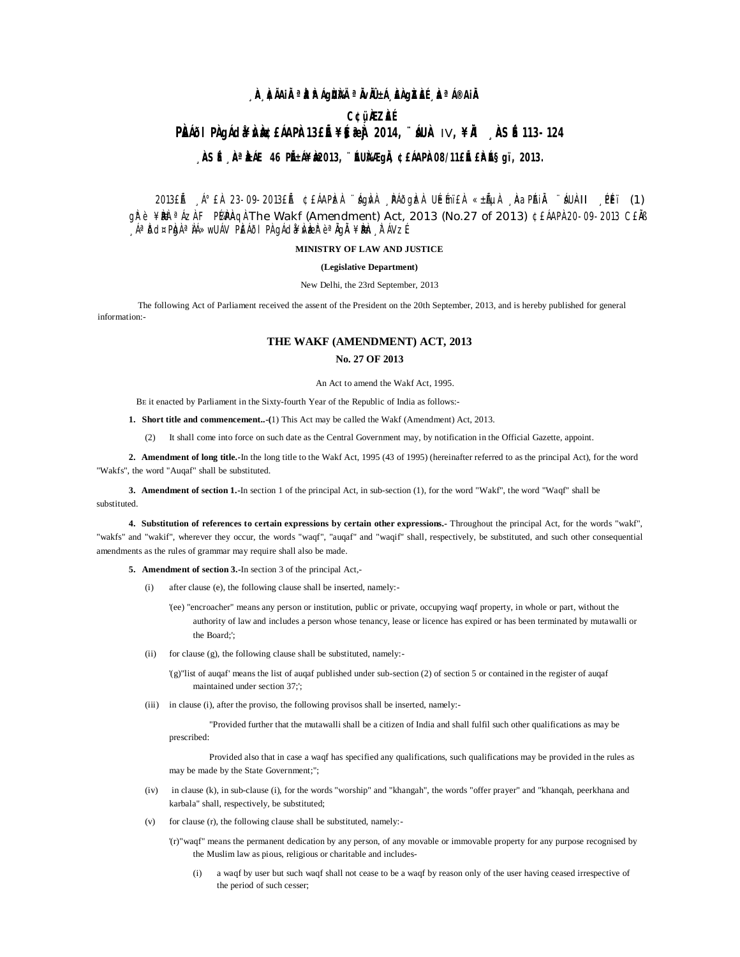## **¸ÀA¸À¢ÃAiÀÄ ªÀåªÀºÁgÀUÀ¼Ä ªÀÄvÀÄÛ ±Á¸À£ÀgÀZÀ£É ¸ÀaªÁ®AiÀÄ**

# **C¢ü¸ÀÆZÀ£É PÀIOI PÀ gÁ dã#ÀÀ dé £ÁAPÀ 13£É¥§ 3ªÀ 2014, ¨ ÁUÀ IV, ¥À , ÀSÉ 113-124** <sub>→</sub> **ÀSÉ <sub>→</sub> ÀªÀÁE 46 PĚ:Á¥À2013, ¨ÉUÀÆgIÀ ¢£ÁAPÀ08/11£IÉ £ÀLɧgï, 2013.**

2013£Ã ¸Á°£À 23-09-2013£Ã ¢£ÁAPLzÀ ¨ágÀvÀ ¸PÁðgLzÀ ULEmï£À «±ÁµÀ ¸ÀaPAiÀ ¨áUÀ-II ¸PÉï (1)  $q\ddot{r}$  è  $\angle$ B $\dot{k}$  a Áz $\dot{k}$  F Pá $\dot{k}$ Aq $\dot{k}$  The Wakf (Amendment) Act, 2013 (No.27 of 2013) ¢£ÁAP $\dot{k}$ 20-09-2013 C£ $\dot{k}$ ß <sub>→</sub>ÁªIðd¤PIg)ÀªIIÁ»wUÁV PIEÁðI PI\gÁdå¥ÀvbærtèªÄgÄ ¥BIEn<sub>s</sub>ITÁVzÉ

### **MINISTRY OF LAW AND JUSTICE**

#### **(Legislative Department)**

New Delhi, the 23rd September, 2013

The following Act of Parliament received the assent of the President on the 20th September, 2013, and is hereby published for general information:-

# **THE WAKF (AMENDMENT) ACT, 2013 No. 27 OF 2013**

An Act to amend the Wakf Act, 1995.

BE it enacted by Parliament in the Sixty-fourth Year of the Republic of India as follows:-

**1. Short title and commencement..-(**1) This Act may be called the Wakf (Amendment) Act, 2013.

(2) It shall come into force on such date as the Central Government may, by notification in the Official Gazette, appoint.

**2. Amendment of long title.-**In the long title to the Wakf Act, 1995 (43 of 1995) (hereinafter referred to as the principal Act), for the word "Wakfs", the word "Auqaf" shall be substituted.

**3. Amendment of section 1.-**In section 1 of the principal Act, in sub-section (1), for the word "Wakf", the word "Waqf" shall be substituted.

**4. Substitution of references to certain expressions by certain other expressions.-** Throughout the principal Act, for the words "wakf", "wakfs" and "wakif", wherever they occur, the words "waqf", "auqaf" and "waqif" shall, respectively, be substituted, and such other consequential amendments as the rules of grammar may require shall also be made.

**5. Amendment of section 3.-**In section 3 of the principal Act,-

- (i) after clause (e), the following clause shall be inserted, namely:-
	- '(ee) "encroacher" means any person or institution, public or private, occupying waqf property, in whole or part, without the authority of law and includes a person whose tenancy, lease or licence has expired or has been terminated by mutawalli or the Board;';
- (ii) for clause (g), the following clause shall be substituted, namely:-

'(g)"list of auqaf' means the list of auqaf published under sub-section (2) of section 5 or contained in the register of auqaf maintained under section 37;';

(iii) in clause (i), after the proviso, the following provisos shall be inserted, namely:-

"Provided further that the mutawalli shall be a citizen of India and shall fulfil such other qualifications as may be prescribed:

Provided also that in case a waqf has specified any qualifications, such qualifications may be provided in the rules as may be made by the State Government;";

- (iv) in clause (k), in sub-clause (i), for the words "worship" and "khangah", the words "offer prayer" and "khanqah, peerkhana and karbala" shall, respectively, be substituted;
- (v) for clause (r), the following clause shall be substituted, namely:-
	- '(r)"waqf" means the permanent dedication by any person, of any movable or immovable property for any purpose recognised by the Muslim law as pious, religious or charitable and includes-
		- (i) a waqf by user but such waqf shall not cease to be a waqf by reason only of the user having ceased irrespective of the period of such cesser;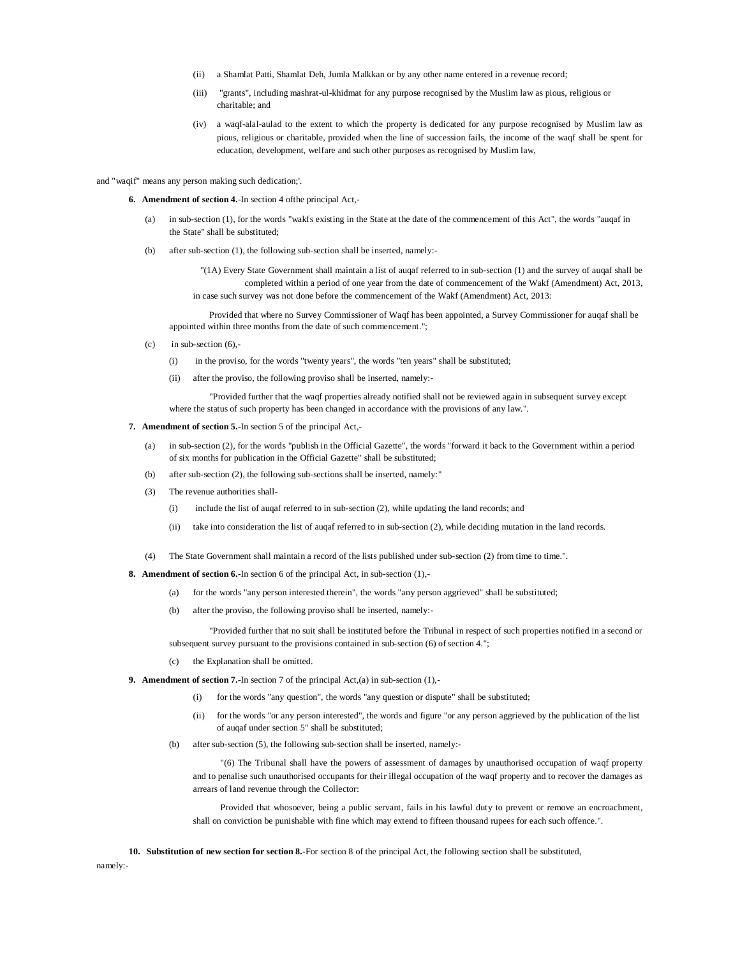- (ii) a Shamlat Patti, Shamlat Deh, Jumla Malkkan or by any other name entered in a revenue record;
- (iii) "grants", including mashrat-ul-khidmat for any purpose recognised by the Muslim law as pious, religious or charitable; and
- (iv) a waqf-alal-aulad to the extent to which the property is dedicated for any purpose recognised by Muslim law as pious, religious or charitable, provided when the line of succession fails, the income of the waqf shall be spent for education, development, welfare and such other purposes as recognised by Muslim law,

and "waqif" means any person making such dedication;'.

**6. Amendment of section 4.**-In section 4 ofthe principal Act,-

- (a) in sub-section (1), for the words "wakfs existing in the State at the date of the commencement of this Act", the words "auqaf in the State" shall be substituted;
- (b) after sub-section (1), the following sub-section shall be inserted, namely:-

"(1A) Every State Government shall maintain a list of auqaf referred to in sub-section (1) and the survey of auqaf shall be completed within a period of one year from the date of commencement of the Wakf (Amendment) Act, 2013, in case such survey was not done before the commencement of the Wakf (Amendment) Act, 2013:

Provided that where no Survey Commissioner of Waqf has been appointed, a Survey Commissioner for auqaf shall be appointed within three months from the date of such commencement.";

- $(c)$  in sub-section  $(6)$ ,-
	- (i) in the proviso, for the words "twenty years", the words "ten years" shall be substituted;
	- (ii) after the proviso, the following proviso shall be inserted, namely:-

"Provided further that the waqf properties already notified shall not be reviewed again in subsequent survey except where the status of such property has been changed in accordance with the provisions of any law.".

#### **7. Amendment of section 5.-**In section 5 of the principal Act,-

- (a) in sub-section (2), for the words "publish in the Official Gazette", the words "forward it back to the Government within a period of six months for publication in the Official Gazette" shall be substituted;
- (b) after sub-section (2), the following sub-sections shall be inserted, namely:"
- (3) The revenue authorities shall-
	- (i) include the list of auqaf referred to in sub-section (2), while updating the land records; and
	- (ii) take into consideration the list of auqaf referred to in sub-section (2), while deciding mutation in the land records.
- (4) The State Government shall maintain a record of the lists published under sub-section (2) from time to time.".

**8. Amendment of section 6.-**In section 6 of the principal Act, in sub-section (1),-

- (a) for the words "any person interested therein", the words "any person aggrieved" shall be substituted;
- (b) after the proviso, the following proviso shall be inserted, namely:-

"Provided further that no suit shall be instituted before the Tribunal in respect of such properties notified in a second or subsequent survey pursuant to the provisions contained in sub-section (6) of section 4.";

- (c) the Explanation shall be omitted.
- **9. Amendment of section 7.-**In section 7 of the principal Act,(a) in sub-section (1),-
	- (i) for the words "any question", the words "any question or dispute" shall be substituted;
	- (ii) for the words "or any person interested", the words and figure "or any person aggrieved by the publication of the list of auqaf under section 5" shall be substituted;
	- (b) after sub-section (5), the following sub-section shall be inserted, namely:-

"(6) The Tribunal shall have the powers of assessment of damages by unauthorised occupation of waqf property and to penalise such unauthorised occupants for their illegal occupation of the waqf property and to recover the damages as arrears of land revenue through the Collector:

Provided that whosoever, being a public servant, fails in his lawful duty to prevent or remove an encroachment, shall on conviction be punishable with fine which may extend to fifteen thousand rupees for each such offence.".

**10. Substitution of new section for section 8.-**For section 8 of the principal Act, the following section shall be substituted,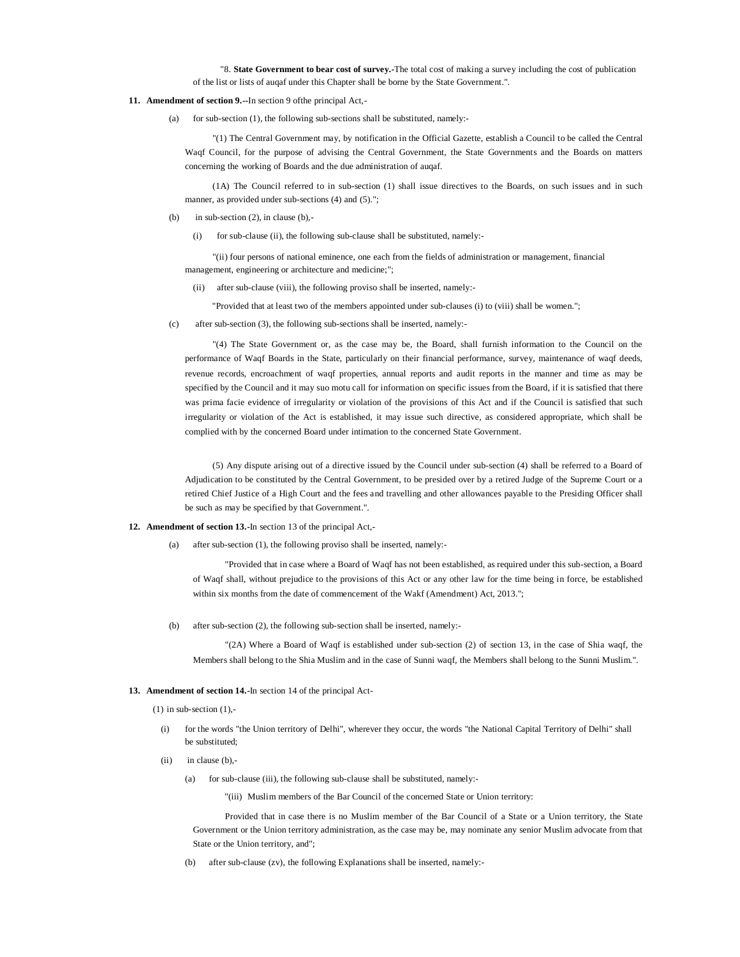"8. **State Government to bear cost of survey.-**The total cost of making a survey including the cost of publication of the list or lists of auqaf under this Chapter shall be borne by the State Government.".

- **11. Amendment of section 9.--**In section 9 ofthe principal Act,-
	- (a) for sub-section (1), the following sub-sections shall be substituted, namely:-

"(1) The Central Government may, by notification in the Official Gazette, establish a Council to be called the Central Waqf Council, for the purpose of advising the Central Government, the State Governments and the Boards on matters concerning the working of Boards and the due administration of auqaf.

(1A) The Council referred to in sub-section (1) shall issue directives to the Boards, on such issues and in such manner, as provided under sub-sections (4) and (5).";

- (b) in sub-section  $(2)$ , in clause  $(b)$ ,-
	- (i) for sub-clause (ii), the following sub-clause shall be substituted, namely:-

"(ii) four persons of national eminence, one each from the fields of administration or management, financial management, engineering or architecture and medicine;";

(ii) after sub-clause (viii), the following proviso shall be inserted, namely:-

"Provided that at least two of the members appointed under sub-clauses (i) to (viii) shall be women.";

(c) after sub-section (3), the following sub-sections shall be inserted, namely:-

"(4) The State Government or, as the case may be, the Board, shall furnish information to the Council on the performance of Waqf Boards in the State, particularly on their financial performance, survey, maintenance of waqf deeds, revenue records, encroachment of waqf properties, annual reports and audit reports in the manner and time as may be specified by the Council and it may suo motu call for information on specific issues from the Board, if it is satisfied that there was prima facie evidence of irregularity or violation of the provisions of this Act and if the Council is satisfied that such irregularity or violation of the Act is established, it may issue such directive, as considered appropriate, which shall be complied with by the concerned Board under intimation to the concerned State Government.

(5) Any dispute arising out of a directive issued by the Council under sub-section (4) shall be referred to a Board of Adjudication to be constituted by the Central Government, to be presided over by a retired Judge of the Supreme Court or a retired Chief Justice of a High Court and the fees and travelling and other allowances payable to the Presiding Officer shall be such as may be specified by that Government.".

#### **12. Amendment of section 13.-**In section 13 of the principal Act,-

(a) after sub-section (1), the following proviso shall be inserted, namely:-

"Provided that in case where a Board of Waqf has not been established, as required under this sub-section, a Board of Waqf shall, without prejudice to the provisions of this Act or any other law for the time being in force, be established within six months from the date of commencement of the Wakf (Amendment) Act, 2013.";

(b) after sub-section (2), the following sub-section shall be inserted, namely:-

"(2A) Where a Board of Waqf is established under sub-section (2) of section 13, in the case of Shia waqf, the Members shall belong to the Shia Muslim and in the case of Sunni waqf, the Members shall belong to the Sunni Muslim.".

#### **13. Amendment of section 14.-**In section 14 of the principal Act-

 $(1)$  in sub-section  $(1)$ .

- (i) for the words "the Union territory of Delhi", wherever they occur, the words "the National Capital Territory of Delhi" shall be substituted;
- $(ii)$  in clause  $(b)$ .
	- (a) for sub-clause (iii), the following sub-clause shall be substituted, namely:-

"(iii) Muslim members of the Bar Council of the concerned State or Union territory:

Provided that in case there is no Muslim member of the Bar Council of a State or a Union territory, the State Government or the Union territory administration, as the case may be, may nominate any senior Muslim advocate from that State or the Union territory, and";

after sub-clause (zv), the following Explanations shall be inserted, namely:-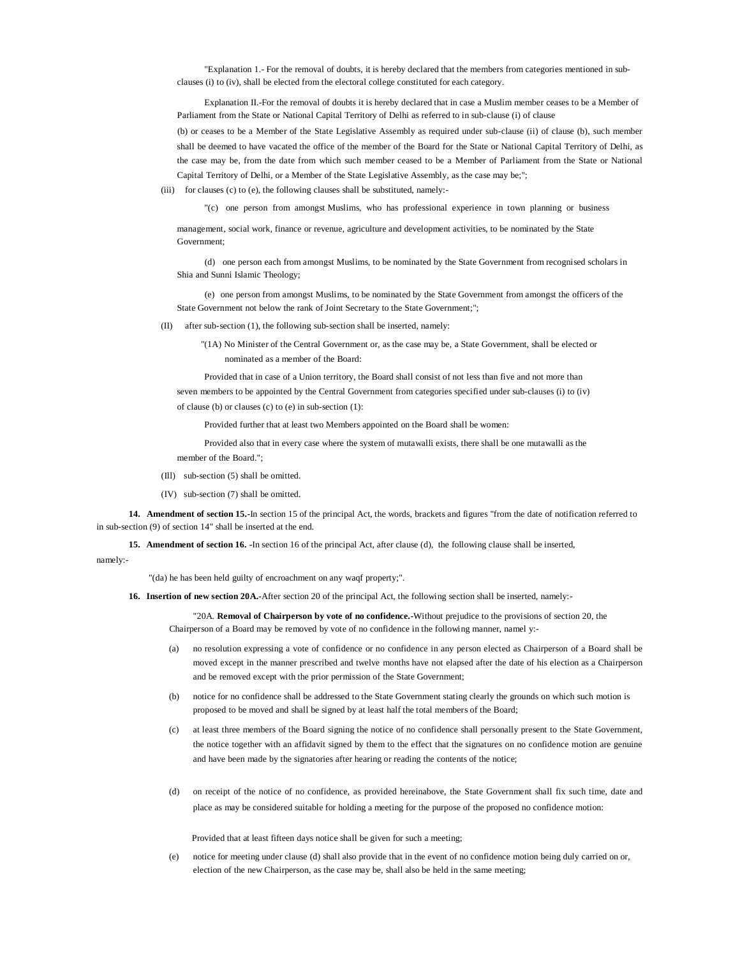"Explanation 1.- For the removal of doubts, it is hereby declared that the members from categories mentioned in subclauses (i) to (iv), shall be elected from the electoral college constituted for each category.

Explanation II.-For the removal of doubts it is hereby declared that in case a Muslim member ceases to be a Member of Parliament from the State or National Capital Territory of Delhi as referred to in sub-clause (i) of clause (b) or ceases to be a Member of the State Legislative Assembly as required under sub-clause (ii) of clause (b), such member shall be deemed to have vacated the office of the member of the Board for the State or National Capital Territory of Delhi, as the case may be, from the date from which such member ceased to be a Member of Parliament from the State or National Capital Territory of Delhi, or a Member of the State Legislative Assembly, as the case may be;";

(iii) for clauses (c) to (e), the following clauses shall be substituted, namely:-

"(c) one person from amongst Muslims, who has professional experience in town planning or business

management, social work, finance or revenue, agriculture and development activities, to be nominated by the State Government;

(d) one person each from amongst Muslims, to be nominated by the State Government from recognised scholars in Shia and Sunni Islamic Theology;

(e) one person from amongst Muslims, to be nominated by the State Government from amongst the officers of the State Government not below the rank of Joint Secretary to the State Government;";

(II) after sub-section (1), the following sub-section shall be inserted, namely:

"(1A) No Minister of the Central Government or, as the case may be, a State Government, shall be elected or nominated as a member of the Board:

Provided that in case of a Union territory, the Board shall consist of not less than five and not more than seven members to be appointed by the Central Government from categories specified under sub-clauses (i) to (iv) of clause (b) or clauses (c) to (e) in sub-section (1):

Provided further that at least two Members appointed on the Board shall be women:

Provided also that in every case where the system of mutawalli exists, there shall be one mutawalli as the member of the Board."

- (Ill) sub-section (5) shall be omitted.
- (IV) sub-section (7) shall be omitted.

**14. Amendment of section 15.-**In section 15 of the principal Act, the words, brackets and figures "from the date of notification referred to in sub-section (9) of section 14" shall be inserted at the end.

**15. Amendment of section 16. -**In section 16 of the principal Act, after clause (d),the following clause shall be inserted,

#### namely:-

"(da) he has been held guilty of encroachment on any waqf property;".

**16. Insertion of new section 20A.-**After section 20 of the principal Act, the following section shall be inserted, namely:-

"20A. **Removal of Chairperson by vote of no confidence.-**Without prejudice to the provisions of section 20, the Chairperson of a Board may be removed by vote of no confidence in the following manner, namel y:-

- (a) no resolution expressing a vote of confidence or no confidence in any person elected as Chairperson of a Board shall be moved except in the manner prescribed and twelve months have not elapsed after the date of his election as a Chairperson and be removed except with the prior permission of the State Government;
- (b) notice for no confidence shall be addressed to the State Government stating clearly the grounds on which such motion is proposed to be moved and shall be signed by at least half the total members of the Board;
- (c) at least three members of the Board signing the notice of no confidence shall personally present to the State Government, the notice together with an affidavit signed by them to the effect that the signatures on no confidence motion are genuine and have been made by the signatories after hearing or reading the contents of the notice;
- (d) on receipt of the notice of no confidence, as provided hereinabove, the State Government shall fix such time, date and place as may be considered suitable for holding a meeting for the purpose of the proposed no confidence motion:

Provided that at least fifteen days notice shall be given for such a meeting;

(e) notice for meeting under clause (d) shall also provide that in the event of no confidence motion being duly carried on or, election of the new Chairperson, as the case may be, shall also be held in the same meeting;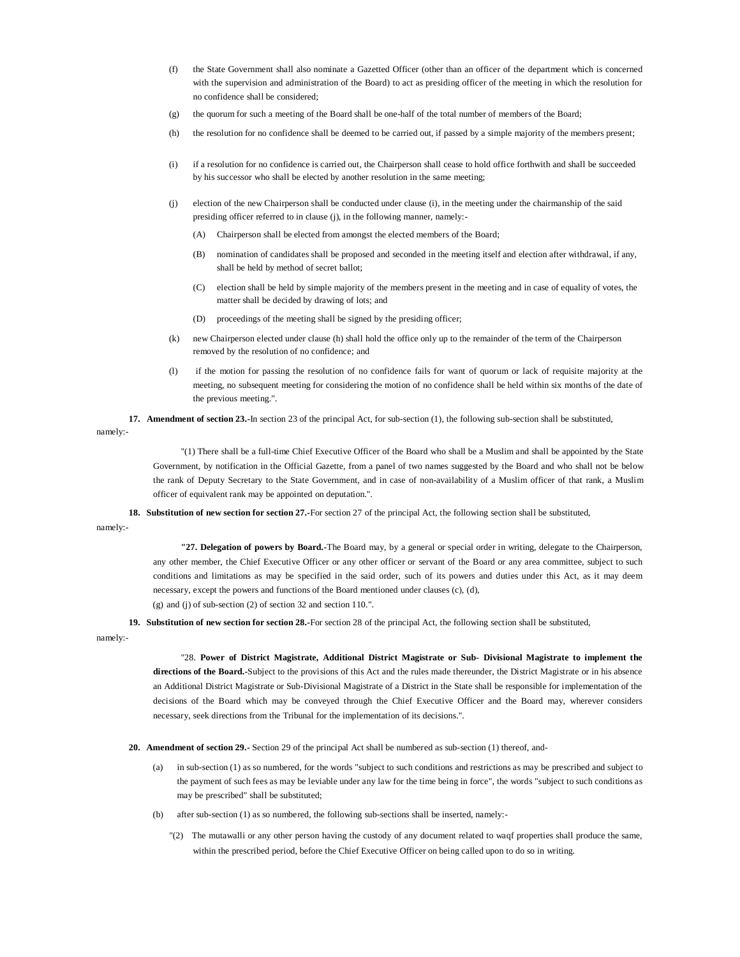- (f) the State Government shall also nominate a Gazetted Officer (other than an officer of the department which is concerned with the supervision and administration of the Board) to act as presiding officer of the meeting in which the resolution for no confidence shall be considered;
- (g) the quorum for such a meeting of the Board shall be one-half of the total number of members of the Board;
- (h) the resolution for no confidence shall be deemed to be carried out, if passed by a simple majority of the members present;
- (i) if a resolution for no confidence is carried out, the Chairperson shall cease to hold office forthwith and shall be succeeded by his successor who shall be elected by another resolution in the same meeting;
- (j) election of the new Chairperson shall be conducted under clause (i), in the meeting under the chairmanship of the said presiding officer referred to in clause (j), in the following manner, namely:-
	- (A) Chairperson shall be elected from amongst the elected members of the Board;
	- (B) nomination of candidates shall be proposed and seconded in the meeting itself and election after withdrawal, if any, shall be held by method of secret ballot;
	- (C) election shall be held by simple majority of the members present in the meeting and in case of equality of votes, the matter shall be decided by drawing of lots; and
	- (D) proceedings of the meeting shall be signed by the presiding officer;
- (k) new Chairperson elected under clause (h) shall hold the office only up to the remainder of the term of the Chairperson removed by the resolution of no confidence; and
- (l) if the motion for passing the resolution of no confidence fails for want of quorum or lack of requisite majority at the meeting, no subsequent meeting for considering the motion of no confidence shall be held within six months of the date of the previous meeting.".
- **17. Amendment of section 23.-**In section 23 of the principal Act, for sub-section (1), the following sub-section shall be substituted,

namely:-

"(1) There shall be a full-time Chief Executive Officer of the Board who shall be a Muslim and shall be appointed by the State Government, by notification in the Official Gazette, from a panel of two names suggested by the Board and who shall not be below the rank of Deputy Secretary to the State Government, and in case of non-availability of a Muslim officer of that rank, a Muslim officer of equivalent rank may be appointed on deputation.".

**18. Substitution of new section for section 27.-**For section 27 of the principal Act, the following section shall be substituted,

namely:-

**"27. Delegation of powers by Board.-**The Board may, by a general or special order in writing, delegate to the Chairperson, any other member, the Chief Executive Officer or any other officer or servant of the Board or any area committee, subject to such conditions and limitations as may be specified in the said order, such of its powers and duties under this Act, as it may deem necessary, except the powers and functions of the Board mentioned under clauses (c), (d), (g) and (j) of sub-section (2) of section 32 and section 110.".

**19. Substitution of new section for section 28.-**For section 28 of the principal Act, the following section shall be substituted,

namely:-

"28. **Power of District Magistrate, Additional District Magistrate or Sub- Divisional Magistrate to implement the directions of the Board.-**Subject to the provisions of this Act and the rules made thereunder, the District Magistrate or in his absence an Additional District Magistrate or Sub-Divisional Magistrate of a District in the State shall be responsible for implementation of the decisions of the Board which may be conveyed through the Chief Executive Officer and the Board may, wherever considers necessary, seek directions from the Tribunal for the implementation of its decisions.".

- **20. Amendment of section 29.-** Section 29 of the principal Act shall be numbered as sub-section (1) thereof, and-
	- (a) in sub-section (1) as so numbered, for the words "subject to such conditions and restrictions as may be prescribed and subject to the payment of such fees as may be leviable under any law for the time being in force", the words "subject to such conditions as may be prescribed" shall be substituted;
	- after sub-section  $(1)$  as so numbered, the following sub-sections shall be inserted, namely:-
		- "(2) The mutawalli or any other person having the custody of any document related to waqf properties shall produce the same, within the prescribed period, before the Chief Executive Officer on being called upon to do so in writing.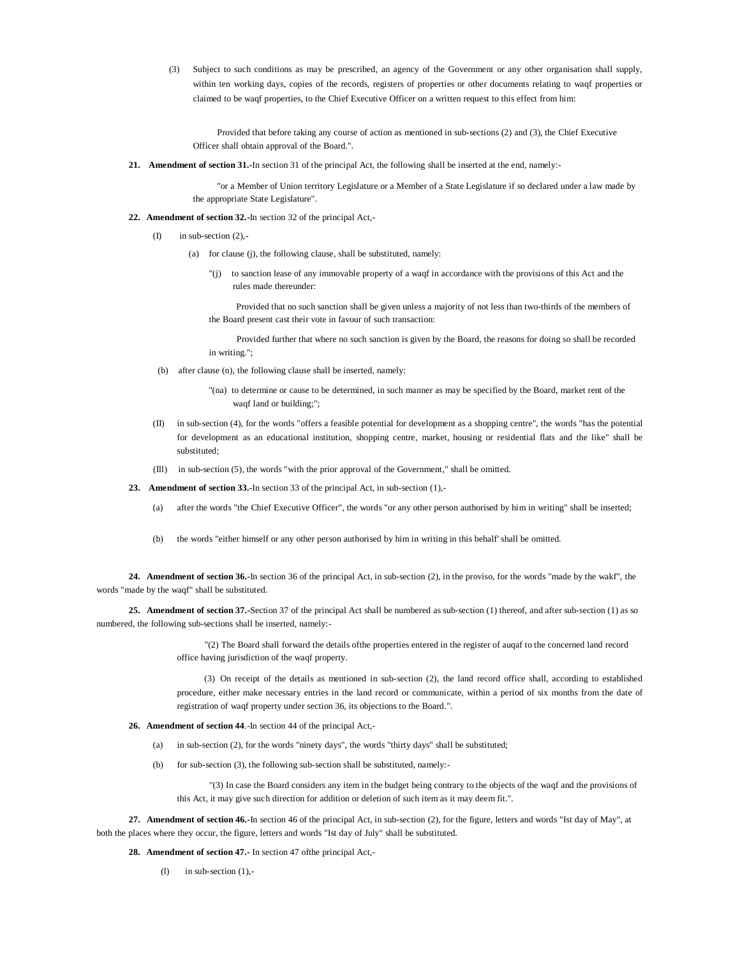(3) Subject to such conditions as may be prescribed, an agency of the Government or any other organisation shall supply, within ten working days, copies of the records, registers of properties or other documents relating to waqf properties or claimed to be waqf properties, to the Chief Executive Officer on a written request to this effect from him:

Provided that before taking any course of action as mentioned in sub-sections (2) and (3), the Chief Executive Officer shall obtain approval of the Board.".

**21. Amendment of section 31.-**In section 31 of the principal Act, the following shall be inserted at the end, namely:-

"or a Member of Union territory Legislature or a Member of a State Legislature if so declared under a law made by the appropriate State Legislature".

- **22. Amendment of section 32.-**In section 32 of the principal Act,-
	- $(I)$  in sub-section  $(2)$ ,-
		- (a) for clause (j), the following clause, shall be substituted, namely:
			- "(j) to sanction lease of any immovable property of a waqf in accordance with the provisions of this Act and the rules made thereunder:

Provided that no such sanction shall be given unless a majority of not less than two-thirds of the members of the Board present cast their vote in favour of such transaction:

Provided further that where no such sanction is given by the Board, the reasons for doing so shall be recorded in writing.";

- (b) after clause (n), the following clause shall be inserted, namely:
	- "(na) to determine or cause to be determined, in such manner as may be specified by the Board, market rent of the waqf land or building;";
- (II) in sub-section (4), for the words "offers a feasible potential for development as a shopping centre", the words "has the potential for development as an educational institution, shopping centre, market, housing or residential flats and the like" shall be substituted;
- (Ill) in sub-section (5), the words "with the prior approval of the Government," shall be omitted.
- **23. Amendment of section 33.-**In section 33 of the principal Act, in sub-section (1),-
	- (a) after the words "the Chief Executive Officer", the words "or any other person authorised by him in writing" shall be inserted;
	- (b) the words "either himself or any other person authorised by him in writing in this behalf' shall be omitted.

**24. Amendment of section 36.-**In section 36 of the principal Act, in sub-section (2), in the proviso, for the words "made by the wakf", the words "made by the waqf" shall be substituted.

**25. Amendment of section 37.-**Section 37 of the principal Act shall be numbered as sub-section (1) thereof, and after sub-section (1) as so numbered, the following sub-sections shall be inserted, namely:-

> "(2) The Board shall forward the details ofthe properties entered in the register of auqaf to the concerned land record office having jurisdiction of the waqf property.

(3) On receipt of the details as mentioned in sub-section (2), the land record office shall, according to established procedure, either make necessary entries in the land record or communicate, within a period of six months from the date of registration of waqf property under section 36, its objections to the Board.".

**26. Amendment of section 44**.-In section 44 of the principal Act,-

- (a) in sub-section (2), for the words "ninety days", the words "thirty days" shall be substituted;
- (b) for sub-section (3), the following sub-section shall be substituted, namely:-

"(3) In case the Board considers any item in the budget being contrary to the objects of the waqf and the provisions of this Act, it may give such direction for addition or deletion of such item as it may deem fit.".

**27. Amendment of section 46.-**In section 46 of the principal Act, in sub-section (2), for the figure, letters and words "Ist day of May", at both the places where they occur, the figure, letters and words "Ist day of July" shall be substituted.

**28. Amendment of section 47.-** In section 47 ofthe principal Act,-

 $(l)$  in sub-section  $(l)$ .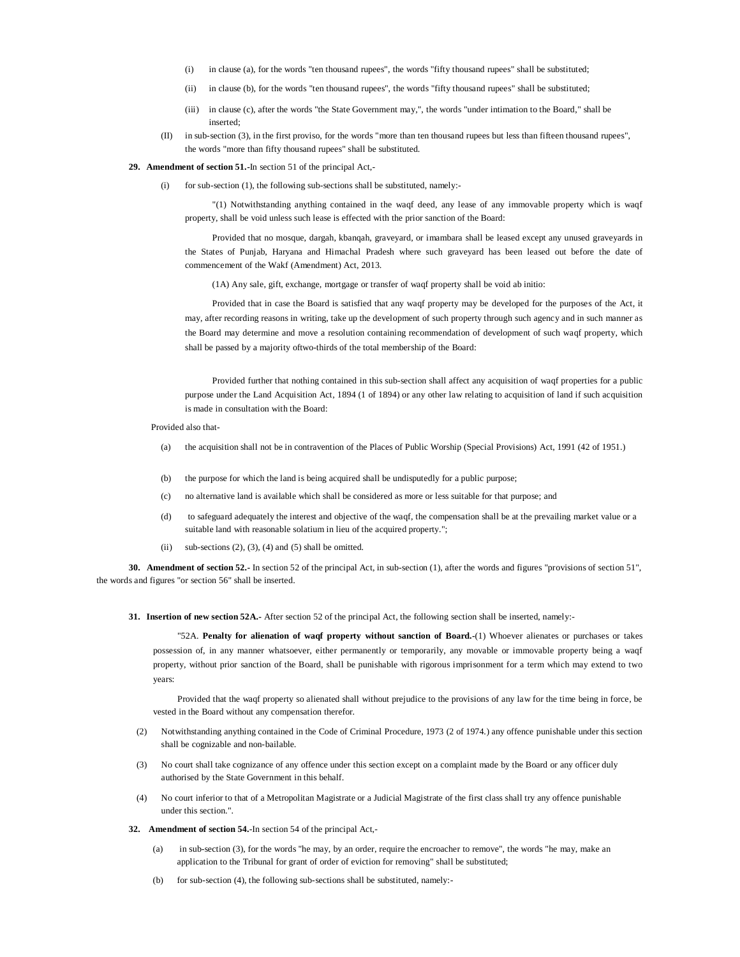- (i) in clause (a), for the words "ten thousand rupees", the words "fifty thousand rupees" shall be substituted;
- (ii) in clause (b), for the words "ten thousand rupees", the words "fifty thousand rupees" shall be substituted;
- (iii) in clause (c), after the words "the State Government may,", the words "under intimation to the Board," shall be inserted;
- (II) in sub-section (3), in the first proviso, for the words "more than ten thousand rupees but less than fifteen thousand rupees", the words "more than fifty thousand rupees" shall be substituted.

#### **29. Amendment of section 51.-**In section 51 of the principal Act,-

for sub-section (1), the following sub-sections shall be substituted, namely:-

"(1) Notwithstanding anything contained in the waqf deed, any lease of any immovable property which is waqf property, shall be void unless such lease is effected with the prior sanction of the Board:

Provided that no mosque, dargah, kbanqah, graveyard, or imambara shall be leased except any unused graveyards in the States of Punjab, Haryana and Himachal Pradesh where such graveyard has been leased out before the date of commencement of the Wakf (Amendment) Act, 2013.

(1A) Any sale, gift, exchange, mortgage or transfer of waqf property shall be void ab initio:

Provided that in case the Board is satisfied that any waqf property may be developed for the purposes of the Act, it may, after recording reasons in writing, take up the development of such property through such agency and in such manner as the Board may determine and move a resolution containing recommendation of development of such waqf property, which shall be passed by a majority oftwo-thirds of the total membership of the Board:

Provided further that nothing contained in this sub-section shall affect any acquisition of waqf properties for a public purpose under the Land Acquisition Act, 1894 (1 of 1894) or any other law relating to acquisition of land if such acquisition is made in consultation with the Board:

Provided also that-

- (a) the acquisition shall not be in contravention of the Places of Public Worship (Special Provisions) Act, 1991 (42 of 1951.)
- (b) the purpose for which the land is being acquired shall be undisputedly for a public purpose;
- (c) no alternative land is available which shall be considered as more or less suitable for that purpose; and
- (d) to safeguard adequately the interest and objective of the waqf, the compensation shall be at the prevailing market value or a suitable land with reasonable solatium in lieu of the acquired property.";
- (ii) sub-sections  $(2)$ ,  $(3)$ ,  $(4)$  and  $(5)$  shall be omitted.

**30. Amendment of section 52.-** In section 52 of the principal Act, in sub-section (1), after the words and figures "provisions of section 51", the words and figures "or section 56" shall be inserted.

**31. Insertion of new section 52A.-** After section 52 of the principal Act, the following section shall be inserted, namely:-

"52A. **Penalty for alienation of waqf property without sanction of Board.-**(1) Whoever alienates or purchases or takes possession of, in any manner whatsoever, either permanently or temporarily, any movable or immovable property being a waqf property, without prior sanction of the Board, shall be punishable with rigorous imprisonment for a term which may extend to two years:

Provided that the waqf property so alienated shall without prejudice to the provisions of any law for the time being in force, be vested in the Board without any compensation therefor.

- (2) Notwithstanding anything contained in the Code of Criminal Procedure, 1973 (2 of 1974.) any offence punishable under this section shall be cognizable and non-bailable.
- (3) No court shall take cognizance of any offence under this section except on a complaint made by the Board or any officer duly authorised by the State Government in this behalf.
- (4) No court inferior to that of a Metropolitan Magistrate or a Judicial Magistrate of the first class shall try any offence punishable under this section.".
- **32. Amendment of section 54.**-In section 54 of the principal Act,-
	- (a) in sub-section (3), for the words "he may, by an order, require the encroacher to remove", the words "he may, make an application to the Tribunal for grant of order of eviction for removing" shall be substituted;
	- (b) for sub-section (4), the following sub-sections shall be substituted, namely:-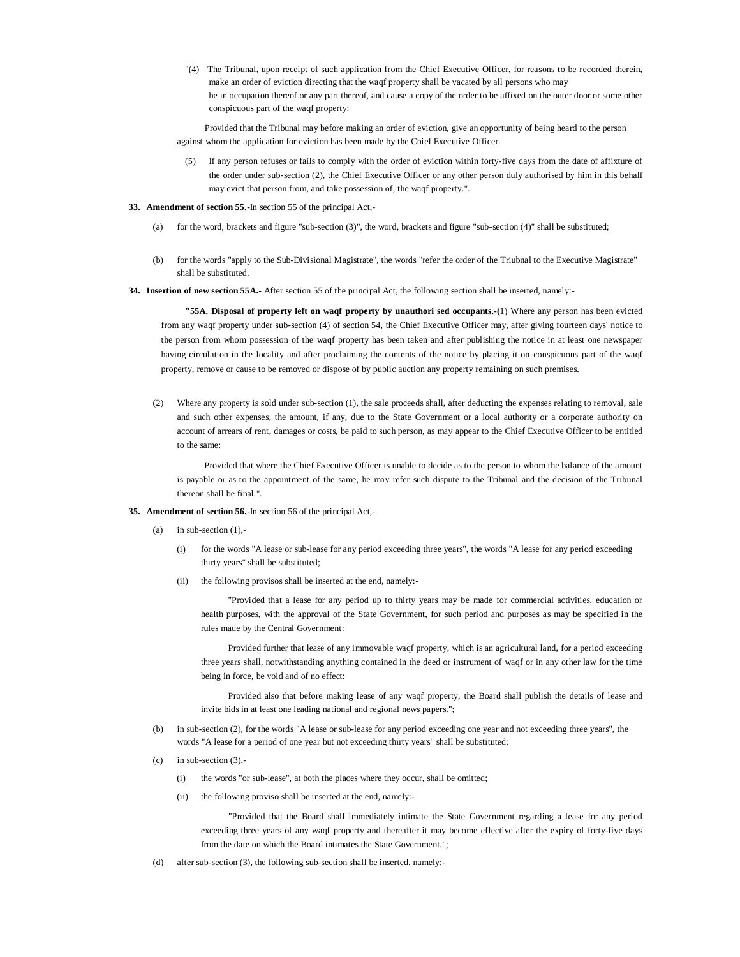"(4) The Tribunal, upon receipt of such application from the Chief Executive Officer, for reasons to be recorded therein, make an order of eviction directing that the waqf property shall be vacated by all persons who may be in occupation thereof or any part thereof, and cause a copy of the order to be affixed on the outer door or some other conspicuous part of the waqf property:

Provided that the Tribunal may before making an order of eviction, give an opportunity of being heard to the person against whom the application for eviction has been made by the Chief Executive Officer.

- (5) If any person refuses or fails to comply with the order of eviction within forty-five days from the date of affixture of the order under sub-section (2), the Chief Executive Officer or any other person duly authorised by him in this behalf may evict that person from, and take possession of, the waqf property.".
- **33. Amendment of section 55.-**In section 55 of the principal Act,-
	- (a) for the word, brackets and figure "sub-section (3)", the word, brackets and figure "sub-section (4)" shall be substituted;
	- (b) for the words "apply to the Sub-Divisional Magistrate", the words "refer the order of the Triubnal to the Executive Magistrate" shall be substituted.
- **34. Insertion of new section 55A.-** After section 55 of the principal Act, the following section shall be inserted, namely:-

**"55A. Disposal of property left on waqf property by unauthori sed occupants.-(**1) Where any person has been evicted from any waqf property under sub-section (4) of section 54, the Chief Executive Officer may, after giving fourteen days' notice to the person from whom possession of the waqf property has been taken and after publishing the notice in at least one newspaper having circulation in the locality and after proclaiming the contents of the notice by placing it on conspicuous part of the waqf property, remove or cause to be removed or dispose of by public auction any property remaining on such premises.

(2) Where any property is sold under sub-section (1), the sale proceeds shall, after deducting the expenses relating to removal, sale and such other expenses, the amount, if any, due to the State Government or a local authority or a corporate authority on account of arrears of rent, damages or costs, be paid to such person, as may appear to the Chief Executive Officer to be entitled to the same:

Provided that where the Chief Executive Officer is unable to decide as to the person to whom the balance of the amount is payable or as to the appointment of the same, he may refer such dispute to the Tribunal and the decision of the Tribunal thereon shall be final.".

- **35. Amendment of section 56.-**In section 56 of the principal Act,-
	- (a) in sub-section  $(1)$ ,-
		- (i) for the words "A lease or sub-lease for any period exceeding three years", the words "A lease for any period exceeding thirty years" shall be substituted;
		- (ii) the following provisos shall be inserted at the end, namely:-

"Provided that a lease for any period up to thirty years may be made for commercial activities, education or health purposes, with the approval of the State Government, for such period and purposes as may be specified in the rules made by the Central Government:

Provided further that lease of any immovable waqf property, which is an agricultural land, for a period exceeding three years shall, notwithstanding anything contained in the deed or instrument of waqf or in any other law for the time being in force, be void and of no effect:

Provided also that before making lease of any waqf property, the Board shall publish the details of lease and invite bids in at least one leading national and regional news papers.";

- (b) in sub-section (2), for the words "A lease or sub-lease for any period exceeding one year and not exceeding three years", the words "A lease for a period of one year but not exceeding thirty years" shall be substituted;
- $(c)$  in sub-section  $(3)$ .
	- (i) the words "or sub-lease", at both the places where they occur, shall be omitted;
	- (ii) the following proviso shall be inserted at the end, namely:-

"Provided that the Board shall immediately intimate the State Government regarding a lease for any period exceeding three years of any waqf property and thereafter it may become effective after the expiry of forty-five days from the date on which the Board intimates the State Government.";

(d) after sub-section (3), the following sub-section shall be inserted, namely:-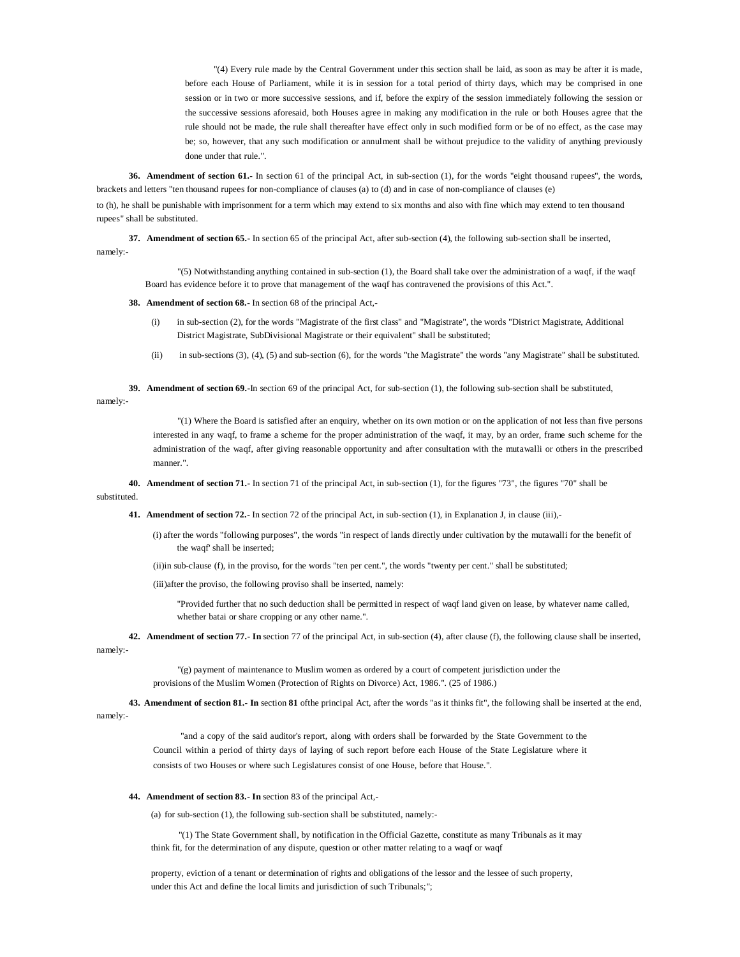"(4) Every rule made by the Central Government under this section shall be laid, as soon as may be after it is made, before each House of Parliament, while it is in session for a total period of thirty days, which may be comprised in one session or in two or more successive sessions, and if, before the expiry of the session immediately following the session or the successive sessions aforesaid, both Houses agree in making any modification in the rule or both Houses agree that the rule should not be made, the rule shall thereafter have effect only in such modified form or be of no effect, as the case may be; so, however, that any such modification or annulment shall be without prejudice to the validity of anything previously done under that rule.".

**36. Amendment of section 61.-** In section 61 of the principal Act, in sub-section (1), for the words "eight thousand rupees", the words, brackets and letters "ten thousand rupees for non-compliance of clauses (a) to (d) and in case of non-compliance of clauses (e)

to (h), he shall be punishable with imprisonment for a term which may extend to six months and also with fine which may extend to ten thousand rupees" shall be substituted.

**37. Amendment of section 65.-** In section 65 of the principal Act, after sub-section (4), the following sub-section shall be inserted, namely:-

"(5) Notwithstanding anything contained in sub-section (1), the Board shall take over the administration of a waqf, if the waqf Board has evidence before it to prove that management of the waqf has contravened the provisions of this Act.".

**38. Amendment of section 68.-** In section 68 of the principal Act,-

- in sub-section (2), for the words "Magistrate of the first class" and "Magistrate", the words "District Magistrate, Additional District Magistrate, SubDivisional Magistrate or their equivalent" shall be substituted;
- (ii) in sub-sections (3), (4), (5) and sub-section (6), for the words "the Magistrate" the words "any Magistrate" shall be substituted.

**39. Amendment of section 69.-**In section 69 of the principal Act, for sub-section (1), the following sub-section shall be substituted, namely:-

> "(1) Where the Board is satisfied after an enquiry, whether on its own motion or on the application of not less than five persons interested in any waqf, to frame a scheme for the proper administration of the waqf, it may, by an order, frame such scheme for the administration of the waqf, after giving reasonable opportunity and after consultation with the mutawalli or others in the prescribed manner.".

**40. Amendment of section 71.-** In section 71 of the principal Act, in sub-section (1), for the figures "73", the figures "70" shall be substituted.

**41. Amendment of section 72.-** In section 72 of the principal Act, in sub-section (1), in Explanation J, in clause (iii),-

(i) after the words "following purposes", the words "in respect of lands directly under cultivation by the mutawalli for the benefit of the waqf' shall be inserted;

(ii)in sub-clause (f), in the proviso, for the words "ten per cent.", the words "twenty per cent." shall be substituted;

(iii)after the proviso, the following proviso shall be inserted, namely:

"Provided further that no such deduction shall be permitted in respect of waqf land given on lease, by whatever name called, whether batai or share cropping or any other name.".

**42. Amendment of section 77.- In** section 77 of the principal Act, in sub-section (4), after clause (f), the following clause shall be inserted, namely:-

> "(g) payment of maintenance to Muslim women as ordered by a court of competent jurisdiction under the provisions of the Muslim Women (Protection of Rights on Divorce) Act, 1986.". (25 of 1986.)

**43. Amendment of section 81.- In** section **81** ofthe principal Act, after the words "as it thinks fit", the following shall be inserted at the end,

namely:-

"and a copy of the said auditor's report, along with orders shall be forwarded by the State Government to the Council within a period of thirty days of laying of such report before each House of the State Legislature where it consists of two Houses or where such Legislatures consist of one House, before that House.".

#### **44. Amendment of section 83.- In** section 83 of the principal Act,-

(a) for sub-section (1), the following sub-section shall be substituted, namely:-

"(1) The State Government shall, by notification in the Official Gazette, constitute as many Tribunals as it may think fit, for the determination of any dispute, question or other matter relating to a waqf or waqf

property, eviction of a tenant or determination of rights and obligations of the lessor and the lessee of such property, under this Act and define the local limits and jurisdiction of such Tribunals;";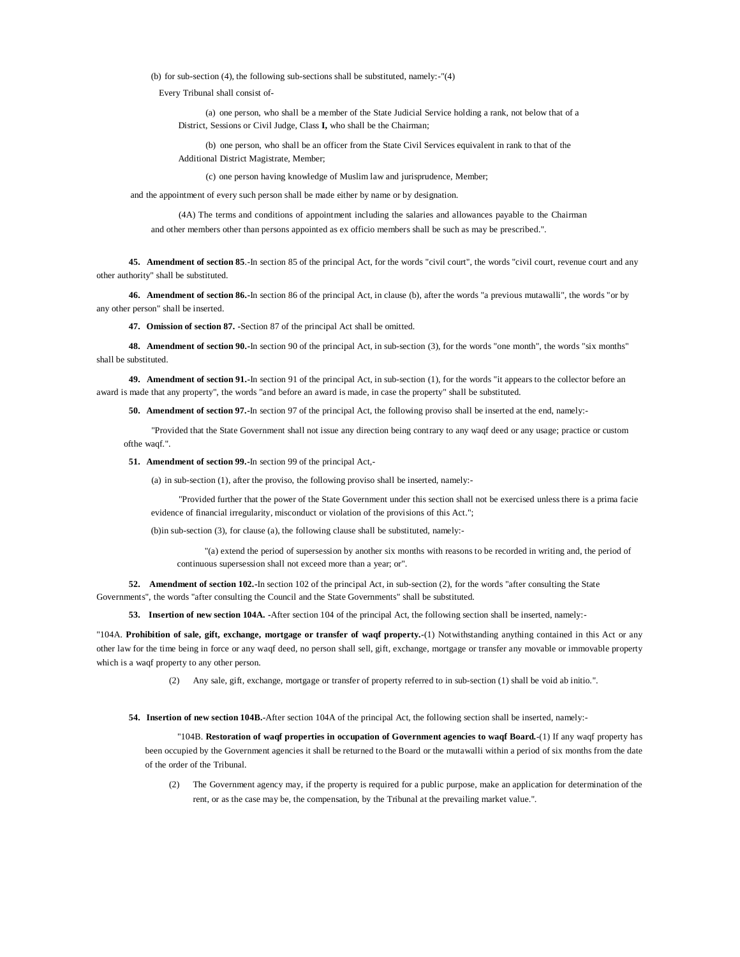(b) for sub-section (4), the following sub-sections shall be substituted, namely:-"(4)

Every Tribunal shall consist of-

(a) one person, who shall be a member of the State Judicial Service holding a rank, not below that of a District, Sessions or Civil Judge, Class **I,** who shall be the Chairman;

(b) one person, who shall be an officer from the State Civil Services equivalent in rank to that of the Additional District Magistrate, Member;

(c) one person having knowledge of Muslim law and jurisprudence, Member;

and the appointment of every such person shall be made either by name or by designation.

(4A) The terms and conditions of appointment including the salaries and allowances payable to the Chairman and other members other than persons appointed as ex officio members shall be such as may be prescribed.".

**45. Amendment of section 85**.-In section 85 of the principal Act, for the words "civil court", the words "civil court, revenue court and any

other authority" shall be substituted.

**46. Amendment of section 86.-**In section 86 of the principal Act, in clause (b), after the words "a previous mutawalli", the words "or by any other person" shall be inserted.

**47. Omission of section 87. -**Section 87 of the principal Act shall be omitted.

**48. Amendment of section 90.-**In section 90 of the principal Act, in sub-section (3), for the words "one month", the words "six months" shall be substituted.

**49. Amendment of section 91.-**In section 91 of the principal Act, in sub-section (1), for the words "it appears to the collector before an award is made that any property", the words "and before an award is made, in case the property" shall be substituted.

**50. Amendment of section 97.-**In section 97 of the principal Act, the following proviso shall be inserted at the end, namely:-

"Provided that the State Government shall not issue any direction being contrary to any waqf deed or any usage; practice or custom ofthe waqf.".

**51. Amendment of section 99.-**In section 99 of the principal Act,-

(a) in sub-section (1), after the proviso, the following proviso shall be inserted, namely:-

"Provided further that the power of the State Government under this section shall not be exercised unless there is a prima facie evidence of financial irregularity, misconduct or violation of the provisions of this Act.";

(b)in sub-section (3), for clause (a), the following clause shall be substituted, namely:-

"(a) extend the period of supersession by another six months with reasons to be recorded in writing and, the period of continuous supersession shall not exceed more than a year; or".

**52. Amendment of section 102.-**In section 102 of the principal Act, in sub-section (2), for the words "after consulting the State Governments", the words "after consulting the Council and the State Governments" shall be substituted.

**53. Insertion of new section 104A. -**After section 104 of the principal Act, the following section shall be inserted, namely:-

"104A. **Prohibition of sale, gift, exchange, mortgage or transfer of waqf property.-**(1) Notwithstanding anything contained in this Act or any other law for the time being in force or any waqf deed, no person shall sell, gift, exchange, mortgage or transfer any movable or immovable property which is a waqf property to any other person.

(2) Any sale, gift, exchange, mortgage or transfer of property referred to in sub-section (1) shall be void ab initio.".

**54. Insertion of new section 104B.-**After section 104A of the principal Act, the following section shall be inserted, namely:-

"104B. **Restoration of waqf properties in occupation of Government agencies to waqf Board.**-(1) If any waqf property has been occupied by the Government agencies it shall be returned to the Board or the mutawalli within a period of six months from the date of the order of the Tribunal.

The Government agency may, if the property is required for a public purpose, make an application for determination of the rent, or as the case may be, the compensation, by the Tribunal at the prevailing market value.".